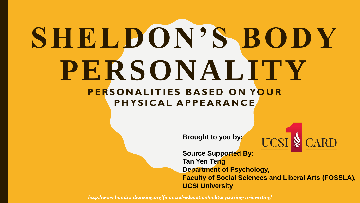# **SHELDON'S BODY PERSONALITY PERSONALITIES BASED ON YOUR PHYSICAL APPEARANCE**

**Brought to you by:**



**Source Supported By: Tan Yen Teng Department of Psychology, Faculty of Social Sciences and Liberal Arts (FOSSLA), UCSI University**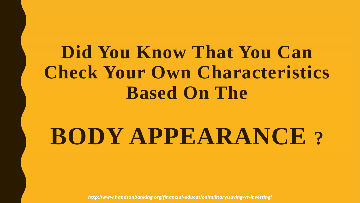## **Did You Know That You Can Check Your Own Characteristics Based On The**

# **BODY APPEARANCE ?**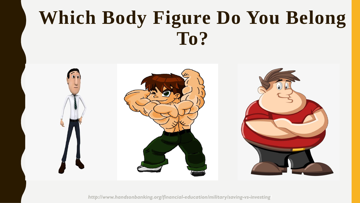## **Which Body Figure Do You Belong To?**

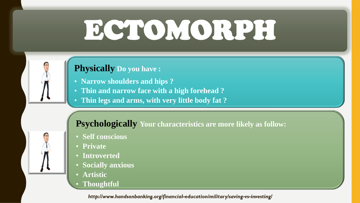# ECTOMORPH

### **Physically Do you have :**

- **Narrow shoulders and hips ?**
- **Thin and narrow face with a high forehead ?**
- **Thin legs and arms, with very little body fat ?**

### **Psychologically Your characteristics are more likely as follow:**

- **Self conscious**
- **Private**
- **Introverted**
- **Socially anxious**
- **Artistic**
- **Thoughtful**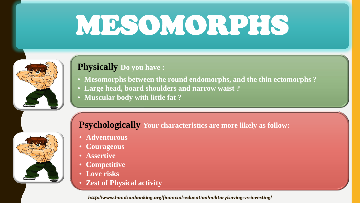# MESOMORPHS



### **Physically Do you have :**

- **Mesomorphs between the round endomorphs, and the thin ectomorphs ?**
- **Large head, board shoulders and narrow waist ?**
- **Muscular body with little fat ?**

### **Psychologically Your characteristics are more likely as follow:**

- **Adventurous**
- **Courageous**
- **Assertive**
- **Competitive**
- **Love risks**
- **Zest of Physical activity**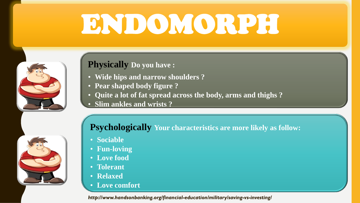# ENDOMORPH



### **Physically Do you have :**

- **Wide hips and narrow shoulders ?**
- **Pear shaped body figure ?**
- **Quite a lot of fat spread across the body, arms and thighs ?**
- **Slim ankles and wrists ?**



### **Psychologically Your characteristics are more likely as follow:**

- **Sociable**
- **Fun-loving**
- **Love food**
- **Tolerant**
- **Relaxed**
- **Love comfort**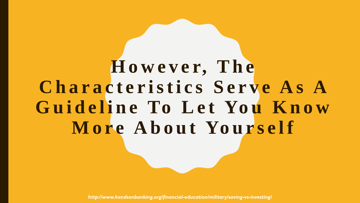# **H o w e v e r, T h e**  Characteristics Serve As A Guideline To Let You Know More About Yourself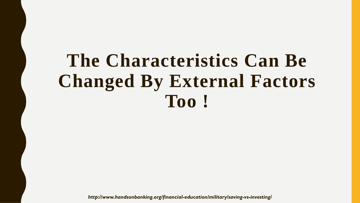## **The Characteristics Can Be Changed By External Factors Too !**